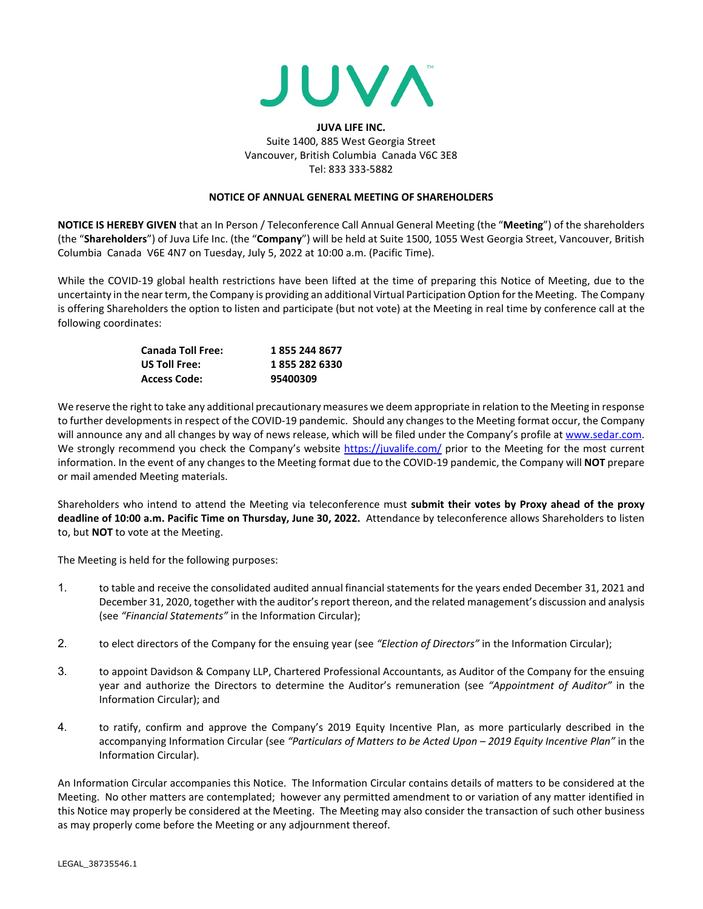

## **JUVA LIFE INC.**  Suite 1400, 885 West Georgia Street Vancouver, British Columbia Canada V6C 3E8 Tel: 833 333-5882

## **NOTICE OF ANNUAL GENERAL MEETING OF SHAREHOLDERS**

**NOTICE IS HEREBY GIVEN** that an In Person / Teleconference Call Annual General Meeting (the "**Meeting**") of the shareholders (the "**Shareholders**") of Juva Life Inc. (the "**Company**") will be held at Suite 1500, 1055 West Georgia Street, Vancouver, British Columbia Canada V6E 4N7 on Tuesday, July 5, 2022 at 10:00 a.m. (Pacific Time).

While the COVID-19 global health restrictions have been lifted at the time of preparing this Notice of Meeting, due to the uncertainty in the near term, the Company is providing an additional Virtual Participation Option for the Meeting. The Company is offering Shareholders the option to listen and participate (but not vote) at the Meeting in real time by conference call at the following coordinates:

| <b>Canada Toll Free:</b> | 1855 244 8677 |
|--------------------------|---------------|
| US Toll Free:            | 1855 282 6330 |
| <b>Access Code:</b>      | 95400309      |

We reserve the right to take any additional precautionary measures we deem appropriate in relation to the Meeting in response to further developments in respect of the COVID-19 pandemic. Should any changes to the Meeting format occur, the Company will announce any and all changes by way of news release, which will be filed under the Company's profile a[t www.sedar.com.](http://www.sedar.com/) We strongly recommend you check the Company's website<https://juvalife.com/> prior to the Meeting for the most current information. In the event of any changes to the Meeting format due to the COVID-19 pandemic, the Company will **NOT** prepare or mail amended Meeting materials.

Shareholders who intend to attend the Meeting via teleconference must **submit their votes by Proxy ahead of the proxy deadline of 10:00 a.m. Pacific Time on Thursday, June 30, 2022.** Attendance by teleconference allows Shareholders to listen to, but **NOT** to vote at the Meeting.

The Meeting is held for the following purposes:

- 1. to table and receive the consolidated audited annual financial statements for the years ended December 31, 2021 and December 31, 2020, together with the auditor's report thereon, and the related management's discussion and analysis (see *"Financial Statements"* in the Information Circular);
- 2. to elect directors of the Company for the ensuing year (see *"Election of Directors"* in the Information Circular);
- 3. to appoint Davidson & Company LLP, Chartered Professional Accountants, as Auditor of the Company for the ensuing year and authorize the Directors to determine the Auditor's remuneration (see *"Appointment of Auditor"* in the Information Circular); and
- 4. to ratify, confirm and approve the Company's 2019 Equity Incentive Plan, as more particularly described in the accompanying Information Circular (see *"Particulars of Matters to be Acted Upon – 2019 Equity Incentive Plan"* in the Information Circular).

An Information Circular accompanies this Notice. The Information Circular contains details of matters to be considered at the Meeting. No other matters are contemplated; however any permitted amendment to or variation of any matter identified in this Notice may properly be considered at the Meeting. The Meeting may also consider the transaction of such other business as may properly come before the Meeting or any adjournment thereof.